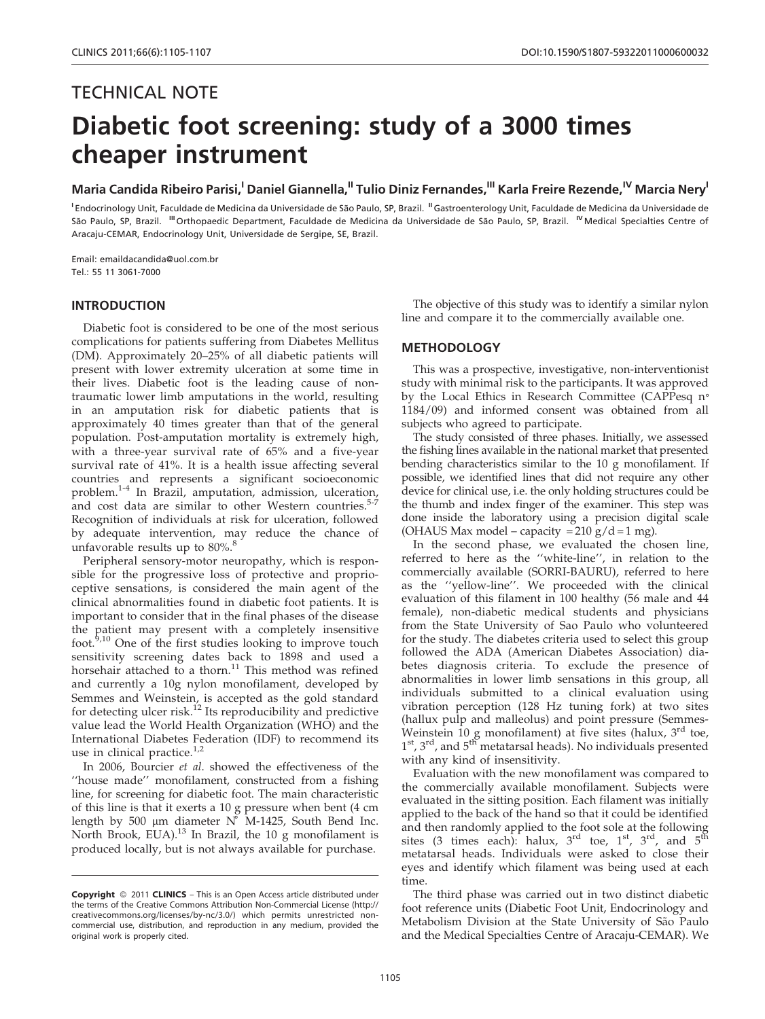# TECHNICAL NOTE Diabetic foot screening: study of a 3000 times cheaper instrument

Maria Candida Ribeiro Parisi,<sup>I</sup> Daniel Giannella,<sup>II</sup> Tulio Diniz Fernandes,<sup>III</sup> Karla Freire Rezende,<sup>IV</sup> Marcia Nery<sup>l</sup>

<sup>I</sup> Endocrinology Unit, Faculdade de Medicina da Universidade de São Paulo, SP, Brazil. "Gastroenterology Unit, Faculdade de Medicina da Universidade de São Paulo, SP, Brazil. <sup>III</sup> Orthopaedic Department, Faculdade de Medicina da Universidade de São Paulo, SP, Brazil. <sup>IV</sup> Medical Specialties Centre of Aracaju-CEMAR, Endocrinology Unit, Universidade de Sergipe, SE, Brazil.

Email: emaildacandida@uol.com.br Tel.: 55 11 3061-7000

## INTRODUCTION

Diabetic foot is considered to be one of the most serious complications for patients suffering from Diabetes Mellitus (DM). Approximately 20–25% of all diabetic patients will present with lower extremity ulceration at some time in their lives. Diabetic foot is the leading cause of nontraumatic lower limb amputations in the world, resulting in an amputation risk for diabetic patients that is approximately 40 times greater than that of the general population. Post-[am](#page-2-0)putation mortality is extremely high, with a [three-year survival rate of 65% and a five-year](#page-2-0) survival rate of 41%. It is a health issue affecting several countrie[s and represents a significant socioeconomic](#page-2-0) problem.1-4 [In Brazil, amputation, admission,](#page-2-0) [ulceration,](#page-2-0) and cost data are similar to other Western countries.<sup>5-7</sup> Recognition of individuals at risk for ulceration, followed by adequate intervention, may reduce the chance of unfavorable results up to  $80\%$ .<sup>8</sup>

Peripheral sensory-motor neuropathy, which is responsible for the progressive loss of protective and proprioceptive sens[atio](#page-2-0)ns, is considered the main agent of the clinical abnorm[alities found in diabetic foot patients. It is](#page-2-0) importa[nt to consider that in the final phases of the disease](#page-2-0) the patient may present with a com[pletely insensitive](#page-2-0) foot.<sup>9,10</sup> [One of the first studies looking to improve touch](#page-2-0) sensitivi[ty screening dates back to 1898 and used a](#page-2-0) horsehair attached to a thorn.<sup>11</sup> [This method was refined](#page-2-0) and cur[rently a 10g nylon monofilament, developed by](#page-2-0) Semmes [and Weinstein, is accepted as the gold standard](#page-2-0) for detecting ulcer risk.<sup>12</sup> Its reproducibility and predictive value lead the World Health Organization (WHO) and the International Diabetes Federation (IDF) to recommend its use in clinical practice.<sup>1,2</sup>

In 2006, Bourcier et al. showed the effectiveness of the ''house made'' monofilame[nt,](#page-2-0) constructed from a fishing line, for screening for diabetic [foot.](#page-2-0) [The](#page-2-0) [main](#page-2-0) [characteristic](#page-2-0) of this li[ne is that it exerts a 10 g pressure when bent \(4 cm](#page-2-0) length by 500  $\mu$ m diameter N° M-1425, South Bend Inc. North Brook, EUA).<sup>13</sup> In Brazil, the 10 g monofilament is produced locally, but is not always available for purchase.

The objective of this study was to identify a similar nylon line and compare it to the commercially available one.

# **METHODOLOGY**

This was a prospective, investigative, non-interventionist study with minimal risk to the participants. It was approved by the Local Ethics in Research Committee (CAPPesq n° 1184/09) and informed consent was obtained from all subjects who agreed to participate.

The study consisted of three phases. Initially, we assessed the fishing lines available in the national market that presented bending characteristics similar to the 10 g monofilament. If possible, we identified lines that did not require any other device for clinical use, i.e. the only holding structures could be the thumb and index finger of the examiner. This step was done inside the laboratory using a precision digital scale (OHAUS Max model – capacity =  $210 \text{ g}/d = 1 \text{ mg}$ ).

In the second phase, we evaluated the chosen line, referred to here as the ''white-line'', in relation to the commercially available (SORRI-BAURU), referred to here as the ''yellow-line''. We proceeded with the clinical evaluation of this filament in 100 healthy (56 male and 44 female), non-diabetic medical students and physicians from the State University of Sao Paulo who volunteered for the study. The diabetes criteria used to select this group followed the ADA (American Diabetes Association) diabetes diagnosis criteria. To exclude the presence of abnormalities in lower limb sensations in this group, all individuals submitted to a clinical evaluation using vibration perception (128 Hz tuning fork) at two sites (hallux pulp and malleolus) and point pressure (Semmes-Weinstein  $10$  g monofilament) at five sites (halux,  $3<sup>rd</sup>$  toe,  $1<sup>st</sup>$ ,  $3<sup>rd</sup>$ , and  $5<sup>th</sup>$  metatarsal heads). No individuals presented with any kind of insensitivity.

Evaluation with the new monofilament was compared to the commercially available monofilament. Subjects were evaluated in the sitting position. Each filament was initially applied to the back of the hand so that it could be identified and then randomly applied to the foot sole at the following sites (3 times each): halux,  $3^{rd}$  toe,  $1^{st}$ ,  $3^{rd}$ , and  $5^{th}$ metatarsal heads. Individuals were asked to close their eyes and identify which filament was being used at each time.

The third phase was carried out in two distinct diabetic foot reference units (Diabetic Foot Unit, Endocrinology and Metabolism Division at the State University of São Paulo and the Medical Specialties Centre of Aracaju-CEMAR). We

**Copyright** © 2011 **CLINICS** – This is an Open Access article distributed under the terms of the Creative Commons Attribution Non-Commercial License (http:// creativecommons.org/licenses/by-nc/3.0/) which permits unrestricted noncommercial use, distribution, and reproduction in any medium, provided the original work is properly cited.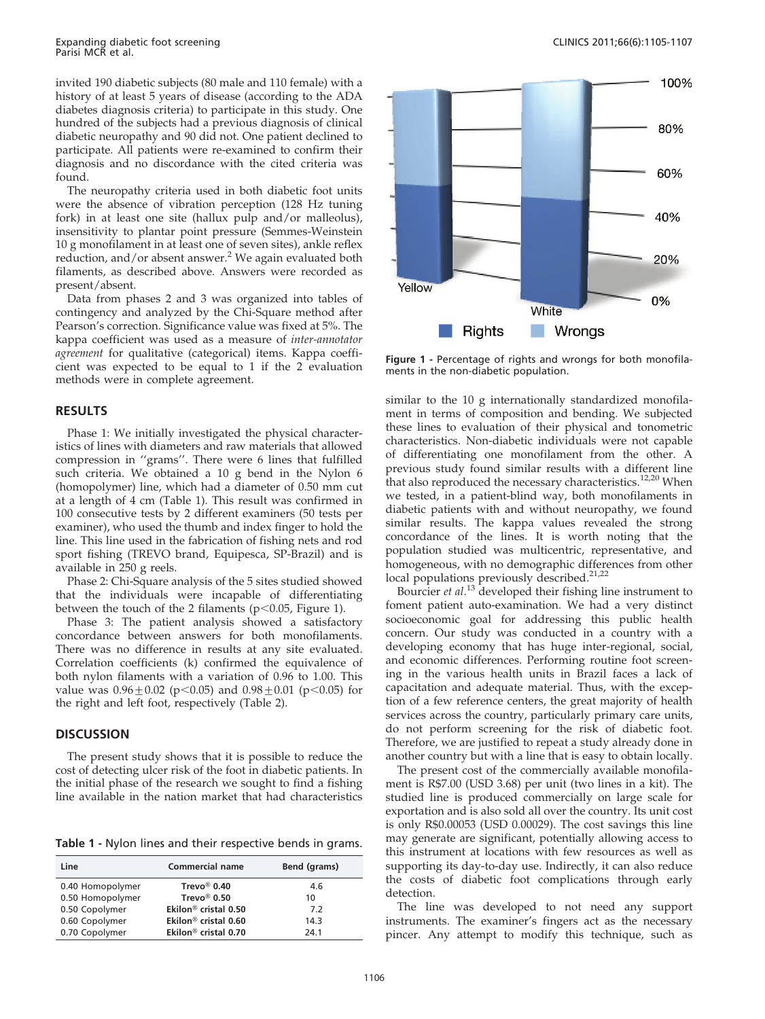invited 190 diabetic subjects (80 male and 110 female) with a history of at least 5 years of disease (according to the ADA diabetes diagnosis criteria) to participate in this study. One hundred of the subjects had a previous diagnosis of clinical diabetic neuropathy and 90 did not. One patient declined to participate. All patients were re-examined to confirm their diagnosis and no discordance with the cited criteria was found.

The neuropathy criteria used in both diabetic foot units were the absence of vibration perceptio[n](#page-2-0) (128 Hz tuning fork) in at least one site (hallux pulp an[d/or](#page-2-0) [malleolus\),](#page-2-0) insensiti[vity to plantar point pressure \(Semmes-Weinstein](#page-2-0) 10 g mo[nofilament](#page-2-0) [in](#page-2-0) [at](#page-2-0) [l](#page-2-0)east one of seven sites), ankle reflex reduction, and/or absent answer.<sup>2</sup> We again evaluated both filaments, as described above. Answers were recorded as present/absent.

Data from phases 2 and 3 was organized into tables of contingency and analyzed by the Chi-Square method after Pearson's correction. Significance value was fixed at 5%. The kappa coefficient was used as a measure of inter-annotator agreement for qualitative (categorical) items. Kappa coefficient was expected to be equal to 1 if the 2 evaluation methods were in complete agreement.

## RESULTS

Phase 1: We initially investigated the physical characteristics of lines with diameters and raw materials that allowed compression in ''grams''. There were 6 lines that fulfilled such criteria. We obtained a 10 g bend in the Nylon 6 (homopolymer) line, which had a diameter of 0.50 mm cut at a length of 4 cm (Table 1). This result was confirmed in 100 consecutive tests by 2 different examiners (50 tests per examiner), who used the thumb and index finger to hold the line. This line used in the fabrication of fishing nets and rod sport fishing (TREVO brand, Equipesca, SP-Brazil) and is available in 250 g reels.

Phase 2: Chi-Square analysis of the 5 sites studied showed that the individuals were incapable of differentiating between the touch of the 2 filaments ( $p$ <0.05, Figure 1).

Phase 3: The patient analysis showed a satisfactory concordance between answers for both monofilaments. There was no difference in results at any site evaluated. Correlation coefficients (k) confirmed the [equivalen](#page-2-0)ce of both nylon filaments with a variation of 0.96 to 1.00. This value was  $0.96 \pm 0.02$  (p $\leq 0.05$ ) and  $0.98 \pm 0.01$  (p $\leq 0.05$ ) for the right and left foot, respectively (Table 2).

#### **DISCUSSION**

The present study shows that it is possible to reduce the cost of detecting ulcer risk of the foot in diabetic patients. In the initial phase of the research we sought to find a fishing line available in the nation market that had characteristics

Table 1 - Nylon lines and their respective bends in grams.

| Line             | <b>Commercial name</b>           | Bend (grams) |  |
|------------------|----------------------------------|--------------|--|
| 0.40 Homopolymer | Trevo <sup>®</sup> 0.40          | 4.6          |  |
| 0.50 Homopolymer | Trevo <sup>®</sup> 0.50          | 10           |  |
| 0.50 Copolymer   | Ekilon <sup>®</sup> cristal 0.50 | 7.2          |  |
| 0.60 Copolymer   | Ekilon <sup>®</sup> cristal 0.60 | 14.3         |  |
| 0.70 Copolymer   | Ekilon <sup>®</sup> cristal 0.70 | 24.1         |  |



Figure 1 - Percentage of rights and wrongs for both monofilaments in the non-diabetic population.

similar to the 10 g internationally standardized monofilament in terms of composition and bending. We subjected these lines to evaluation of their physical and tonometr[ic](#page-2-0) characteristics. Non-diabetic individuals were not capable of diffe[rentiating one monofilament from the other. A](#page-2-0) previou[s study found similar results with a different line](#page-2-0) that also [reproduced](#page-2-0) [the](#page-2-0) [necessary](#page-2-0) [characteristics.](#page-2-0)<sup>12,20</sup> When we teste[d, in a patient-blind way, both monofilaments in](#page-2-0) diabetic [patients with and without neuropathy, we found](#page-2-0) similar [results. The kappa values revealed the](#page-2-0) [strong](#page-2-0) concordance of the li[nes](#page-2-0). It is worth noting that the population studied was [multicentric, representative, and](#page-2-0) homoge[neous, with no demographic differences from other](#page-2-0) local po[pulations previously described.](#page-2-0)<sup>21,22</sup>

Bourcier et al.<sup>13</sup> [developed their fishing line instrument to](#page-2-0) foment [patient](#page-2-0) [auto-examination.](#page-2-0) [We](#page-2-0) [had](#page-2-0) [a](#page-2-0) [very](#page-2-0) [distinct](#page-2-0) socioeco[nomic goal for addressing this public health](#page-2-0) concern. [Our study was conducted in a country with a](#page-2-0) developi[ng](#page-2-0) [economy](#page-2-0) [that](#page-2-0) [has](#page-2-0) [huge](#page-2-0) [inter-regional,](#page-2-0) [social,](#page-2-0) and eco[nomic differences. Performing routine foot screen](#page-2-0)ing in t[he various health units in Brazil faces a lack of](#page-2-0) capacita[tion](#page-2-0) [and](#page-2-0) [adequate](#page-2-0) [material.](#page-2-0) [Thus,](#page-2-0) [with](#page-2-0) [the](#page-2-0) [excep](#page-2-0)tion of a [few reference centers, the great majority of health](#page-2-0) services [across the country, particularly primary care units,](#page-2-0) do not perform screening for the risk of diabetic foot. Therefore, we are justified to repeat a study already done in another country but with a line that is easy to obtain locally.

The present cost of the commercially available monofilament is R\$7.00 (USD 3.68) per unit (two lines in a kit). The studied line is produced commercially on large scale for exportation and is also sold all over the country. Its unit cost is only R\$0.00053 (USD 0.00029). The cost savings this line may generate are significant, potentially allowing access to this instrument at locations with few resources as well as supporting its day-to-day use. Indirectly, it can also reduce the costs of diabetic foot complications through early detection.

The line was developed to not need any support instruments. The examiner's fingers act as the necessary pincer. Any attempt to modify this technique, such as